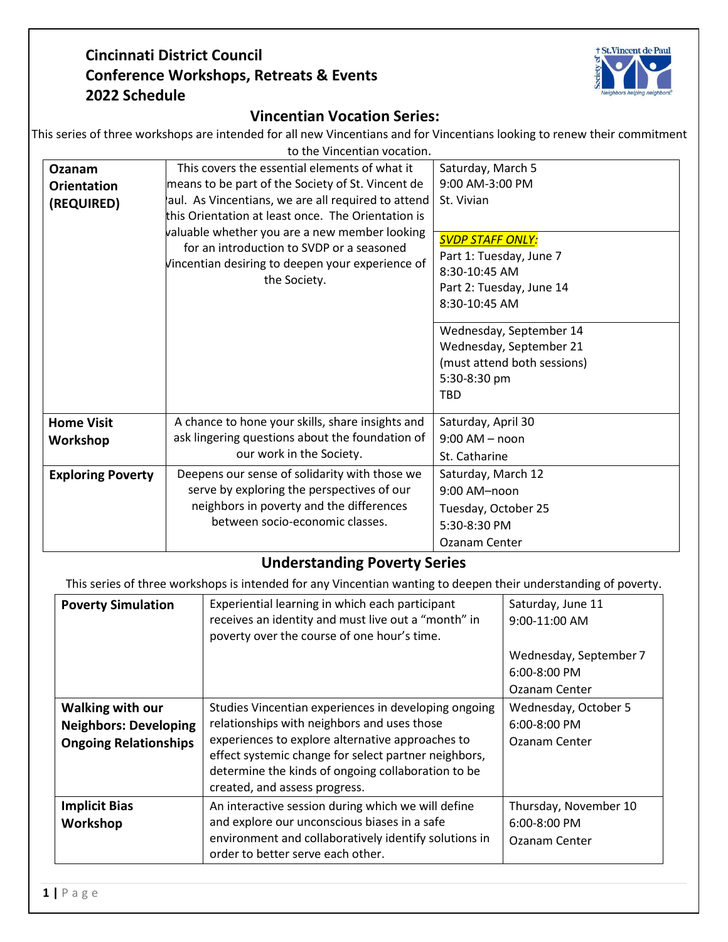## **Cincinnati District Council Conference Workshops, Retreats & Events 2022 Schedule**



## **Vincentian Vocation Series:**

| This series of three workshops are intended for all new Vincentians and for Vincentians looking to renew their commitment |  |
|---------------------------------------------------------------------------------------------------------------------------|--|
|---------------------------------------------------------------------------------------------------------------------------|--|

| to the Vincentian vocation. |                                                                                                                                                                                                                      |                             |  |  |
|-----------------------------|----------------------------------------------------------------------------------------------------------------------------------------------------------------------------------------------------------------------|-----------------------------|--|--|
| Ozanam                      | This covers the essential elements of what it                                                                                                                                                                        | Saturday, March 5           |  |  |
| <b>Orientation</b>          | means to be part of the Society of St. Vincent de                                                                                                                                                                    | 9:00 AM-3:00 PM             |  |  |
| (REQUIRED)                  | aul. As Vincentians, we are all required to attend                                                                                                                                                                   | St. Vivian                  |  |  |
|                             | this Orientation at least once. The Orientation is<br>valuable whether you are a new member looking<br>for an introduction to SVDP or a seasoned<br>Vincentian desiring to deepen your experience of<br>the Society. |                             |  |  |
|                             |                                                                                                                                                                                                                      | <b>SVDP STAFF ONLY:</b>     |  |  |
|                             |                                                                                                                                                                                                                      | Part 1: Tuesday, June 7     |  |  |
|                             |                                                                                                                                                                                                                      | 8:30-10:45 AM               |  |  |
|                             |                                                                                                                                                                                                                      | Part 2: Tuesday, June 14    |  |  |
|                             |                                                                                                                                                                                                                      | 8:30-10:45 AM               |  |  |
|                             |                                                                                                                                                                                                                      |                             |  |  |
|                             |                                                                                                                                                                                                                      | Wednesday, September 14     |  |  |
|                             |                                                                                                                                                                                                                      | Wednesday, September 21     |  |  |
|                             |                                                                                                                                                                                                                      | (must attend both sessions) |  |  |
|                             |                                                                                                                                                                                                                      | 5:30-8:30 pm                |  |  |
|                             |                                                                                                                                                                                                                      | <b>TBD</b>                  |  |  |
| <b>Home Visit</b>           | A chance to hone your skills, share insights and                                                                                                                                                                     | Saturday, April 30          |  |  |
| Workshop                    | ask lingering questions about the foundation of                                                                                                                                                                      | $9:00$ AM $-$ noon          |  |  |
|                             | our work in the Society.                                                                                                                                                                                             | St. Catharine               |  |  |
| <b>Exploring Poverty</b>    | Deepens our sense of solidarity with those we                                                                                                                                                                        | Saturday, March 12          |  |  |
|                             | serve by exploring the perspectives of our<br>neighbors in poverty and the differences<br>between socio-economic classes.                                                                                            | $9:00$ AM-noon              |  |  |
|                             |                                                                                                                                                                                                                      | Tuesday, October 25         |  |  |
|                             |                                                                                                                                                                                                                      | 5:30-8:30 PM                |  |  |
|                             |                                                                                                                                                                                                                      | Ozanam Center               |  |  |

## **Understanding Poverty Series**

This series of three workshops is intended for any Vincentian wanting to deepen their understanding of poverty.

| <b>Poverty Simulation</b>                                                               | Experiential learning in which each participant<br>receives an identity and must live out a "month" in<br>poverty over the course of one hour's time.                                                                                                                                                  | Saturday, June 11<br>$9:00-11:00$ AM                       |
|-----------------------------------------------------------------------------------------|--------------------------------------------------------------------------------------------------------------------------------------------------------------------------------------------------------------------------------------------------------------------------------------------------------|------------------------------------------------------------|
|                                                                                         |                                                                                                                                                                                                                                                                                                        | Wednesday, September 7<br>$6:00-8:00$ PM<br>Ozanam Center  |
| <b>Walking with our</b><br><b>Neighbors: Developing</b><br><b>Ongoing Relationships</b> | Studies Vincentian experiences in developing ongoing<br>relationships with neighbors and uses those<br>experiences to explore alternative approaches to<br>effect systemic change for select partner neighbors,<br>determine the kinds of ongoing collaboration to be<br>created, and assess progress. | Wednesday, October 5<br>$6:00 - 8:00$ PM<br>Ozanam Center  |
| <b>Implicit Bias</b><br>Workshop                                                        | An interactive session during which we will define<br>and explore our unconscious biases in a safe<br>environment and collaboratively identify solutions in<br>order to better serve each other.                                                                                                       | Thursday, November 10<br>$6:00 - 8:00$ PM<br>Ozanam Center |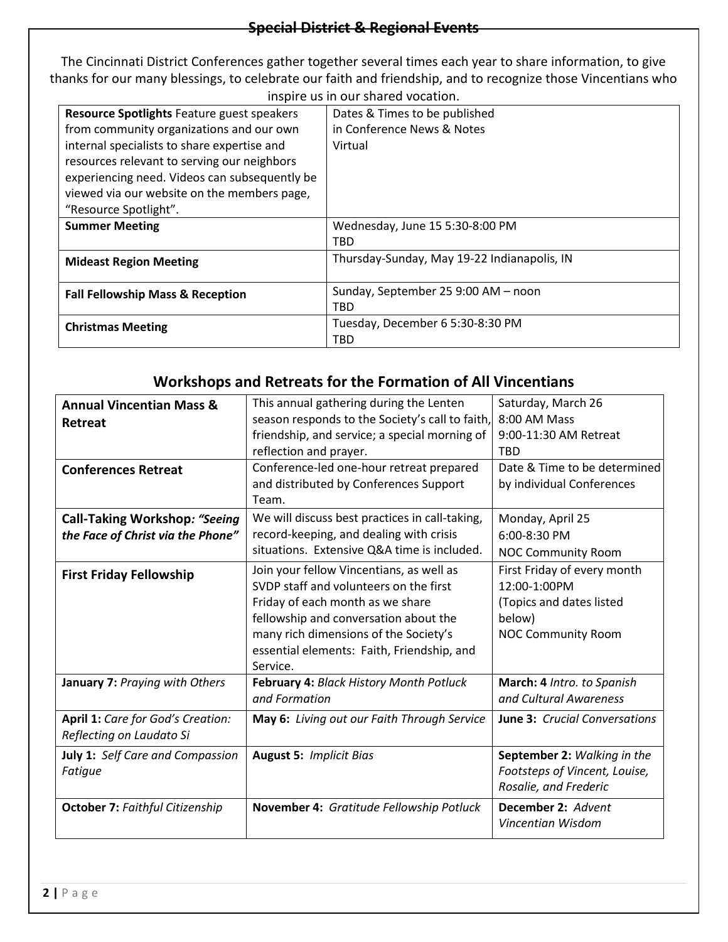The Cincinnati District Conferences gather together several times each year to share information, to give thanks for our many blessings, to celebrate our faith and friendship, and to recognize those Vincentians who inspire us in our shared vocation.

| msplie us in our shared vocation.                 |                                             |  |  |
|---------------------------------------------------|---------------------------------------------|--|--|
| <b>Resource Spotlights Feature guest speakers</b> | Dates & Times to be published               |  |  |
| from community organizations and our own          | in Conference News & Notes                  |  |  |
| internal specialists to share expertise and       | Virtual                                     |  |  |
| resources relevant to serving our neighbors       |                                             |  |  |
| experiencing need. Videos can subsequently be     |                                             |  |  |
| viewed via our website on the members page,       |                                             |  |  |
| "Resource Spotlight".                             |                                             |  |  |
| <b>Summer Meeting</b>                             | Wednesday, June 15 5:30-8:00 PM             |  |  |
|                                                   | TBD                                         |  |  |
| <b>Mideast Region Meeting</b>                     | Thursday-Sunday, May 19-22 Indianapolis, IN |  |  |
|                                                   |                                             |  |  |
| <b>Fall Fellowship Mass &amp; Reception</b>       | Sunday, September 25 9:00 AM - noon         |  |  |
|                                                   | TBD                                         |  |  |
| <b>Christmas Meeting</b>                          | Tuesday, December 6 5:30-8:30 PM            |  |  |
|                                                   | TBD                                         |  |  |

## **Workshops and Retreats for the Formation of All Vincentians**

| <b>Annual Vincentian Mass &amp;</b>    | This annual gathering during the Lenten         | Saturday, March 26                   |
|----------------------------------------|-------------------------------------------------|--------------------------------------|
| Retreat                                | season responds to the Society's call to faith, | 8:00 AM Mass                         |
|                                        | friendship, and service; a special morning of   | 9:00-11:30 AM Retreat                |
|                                        | reflection and prayer.                          | <b>TBD</b>                           |
| <b>Conferences Retreat</b>             | Conference-led one-hour retreat prepared        | Date & Time to be determined         |
|                                        | and distributed by Conferences Support          | by individual Conferences            |
|                                        | Team.                                           |                                      |
| Call-Taking Workshop: "Seeing          | We will discuss best practices in call-taking,  | Monday, April 25                     |
| the Face of Christ via the Phone"      | record-keeping, and dealing with crisis         | 6:00-8:30 PM                         |
|                                        | situations. Extensive Q&A time is included.     | <b>NOC Community Room</b>            |
| <b>First Friday Fellowship</b>         | Join your fellow Vincentians, as well as        | First Friday of every month          |
|                                        | SVDP staff and volunteers on the first          | 12:00-1:00PM                         |
|                                        | Friday of each month as we share                | (Topics and dates listed             |
|                                        | fellowship and conversation about the           | below)                               |
|                                        | many rich dimensions of the Society's           | <b>NOC Community Room</b>            |
|                                        | essential elements: Faith, Friendship, and      |                                      |
|                                        | Service.                                        |                                      |
| January 7: Praying with Others         | February 4: Black History Month Potluck         | March: 4 Intro. to Spanish           |
|                                        | and Formation                                   | and Cultural Awareness               |
| April 1: Care for God's Creation:      | May 6: Living out our Faith Through Service     | <b>June 3: Crucial Conversations</b> |
| Reflecting on Laudato Si               |                                                 |                                      |
| July 1: Self Care and Compassion       | <b>August 5: Implicit Bias</b>                  | September 2: Walking in the          |
| Fatique                                |                                                 | Footsteps of Vincent, Louise,        |
|                                        |                                                 | Rosalie, and Frederic                |
| <b>October 7: Faithful Citizenship</b> | November 4: Gratitude Fellowship Potluck        | December 2: Advent                   |
|                                        |                                                 | Vincentian Wisdom                    |
|                                        |                                                 |                                      |